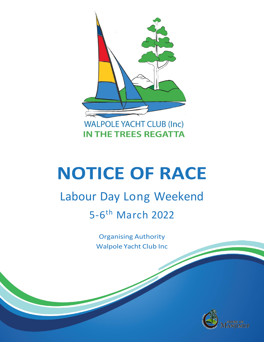

# **NOTICE OF RACE**

## Labour Day Long Weekend 5-6<sup>th</sup> March 2022

Organising Authority Walpole Yacht Club Inc

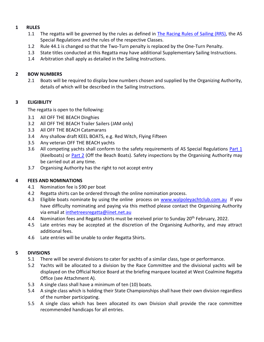#### **1 RULES**

- 1.1 The regatta will be governed by the rules as defined in [The Racing Rules of Sailing \(RRS\),](https://www.sailingresources.org.au/class-assoc/racing-rules/) the AS Special Regulations and the rules of the respective Classes.
- 1.2 Rule 44.1 is changed so that the Two-Turn penalty is replaced by the One-Turn Penalty.
- 1.3 State titles conducted at this Regatta may have additional Supplementary Sailing Instructions.
- 1.4 Arbitration shall apply as detailed in the Sailing Instructions.

#### **2 BOW NUMBERS**

2.1 Boats will be required to display bow numbers chosen and supplied by the Organizing Authority, details of which will be described in the Sailing Instructions.

#### **3 ELIGIBILITY**

The regatta is open to the following:

- 3.1 All OFF THE BEACH Dinghies
- 3.2 All OFF THE BEACH Trailer Sailers (JAM only)
- 3.3 All OFF THE BEACH Catamarans
- 3.4 Any shallow draft KEEL BOATS, e.g. Red Witch, Flying Fifteen
- 3.5 Any veteran OFF THE BEACH yachts
- 3.6 All competing yachts shall conform to the safety requirements of AS Special Regulations [Part 1](https://www.sailingresources.org.au/safety/specialregs/) (Keelboats) or **Part 2** (Off the Beach Boats). Safety inspections by the Organising Authority may be carried out at any time.
- 3.7 Organising Authority has the right to not accept entry

#### **4 FEES AND NOMINATIONS**

- 4.1 Nomination fee is \$90 per boat
- 4.2 Regatta shirts can be ordered through the online nomination process.
- 4.3 Eligible boats nominate by using the online process on [www.walpoleyachtclub.com.au](http://www.walpoleyachtclub.com.au/) If you have difficulty nominating and paying via this method please contact the Organising Authority via email at [inthetreesregatta@iinet.net.au](mailto:inthetreesregatta@iinet.net.au)
- 4.4 Nomination fees and Regatta shirts must be received prior to Sunday 20<sup>th</sup> February, 2022.
- 4.5 Late entries may be accepted at the discretion of the Organising Authority, and may attract additional fees.
- 4.6 Late entries will be unable to order Regatta Shirts.

#### **5 DIVISIONS**

- 5.1 There will be several divisions to cater for yachts of a similar class, type or performance.
- 5.2 Yachts will be allocated to a division by the Race Committee and the divisional yachts will be displayed on the Official Notice Board at the briefing marquee located at West Coalmine Regatta Office (see Attachment A).
- 5.3 A single class shall have a minimum of ten (10) boats.
- 5.4 A single class which is holding their State Championships shall have their own division regardless of the number participating.
- 5.5 A single class which has been allocated its own Division shall provide the race committee recommended handicaps for all entries.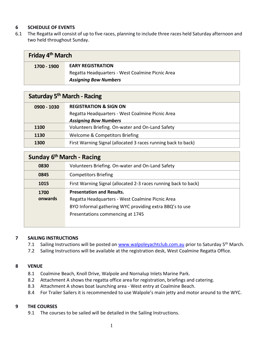#### **6 SCHEDULE OF EVENTS**

6.1 The Regatta will consist of up to five races, planning to include three races held Saturday afternoon and two held throughout Sunday.

| Friday 4 <sup>th</sup> March |                                                  |  |
|------------------------------|--------------------------------------------------|--|
| 1700 - 1900                  | <b>EARY REGISTRATION</b>                         |  |
|                              | Regatta Headquarters - West Coalmine Picnic Area |  |
|                              | <b>Assigning Bow Numbers</b>                     |  |

| Saturday 5 <sup>th</sup> March - Racing |                                                               |  |
|-----------------------------------------|---------------------------------------------------------------|--|
| $0900 - 1030$                           | <b>REGISTRATION &amp; SIGN ON</b>                             |  |
|                                         | Regatta Headquarters - West Coalmine Picnic Area              |  |
|                                         | <b>Assigning Bow Numbers</b>                                  |  |
| 1100                                    | Volunteers Briefing. On-water and On-Land Safety              |  |
| 1130                                    | Welcome & Competitors Briefing                                |  |
| 1300                                    | First Warning Signal (allocated 3 races running back to back) |  |

| Sunday 6 <sup>th</sup> March - Racing |                                                                 |  |
|---------------------------------------|-----------------------------------------------------------------|--|
| 0830                                  | Volunteers Briefing. On-water and On-Land Safety                |  |
| 0845                                  | <b>Competitors Briefing</b>                                     |  |
| 1015                                  | First Warning Signal (allocated 2-3 races running back to back) |  |
| 1700                                  | <b>Presentation and Results.</b>                                |  |
| onwards                               | Regatta Headquarters - West Coalmine Picnic Area                |  |
|                                       | BYO Informal gathering WYC providing extra BBQ's to use         |  |
|                                       | Presentations commencing at 1745                                |  |
|                                       |                                                                 |  |

#### **7 SAILING INSTRUCTIONS**

- 7.1 Sailing Instructions will be posted on [www.walpoleyachtclub.com.au](http://www.walpoleyachtclub.com.au/) prior to Saturday 5<sup>th</sup> March.
- 7.2 Sailing Instructions will be available at the registration desk, West Coalmine Regatta Office.

#### **8 VENUE**

- 8.1 Coalmine Beach, Knoll Drive, Walpole and Nornalup Inlets Marine Park.
- 8.2 Attachment A shows the regatta office area for registration, briefings and catering.
- 8.3 Attachment A shows boat launching area West entry at Coalmine Beach.
- 8.4 For Trailer Sailers it is recommended to use Walpole's main jetty and motor around to the WYC.

#### **9 THE COURSES**

9.1 The courses to be sailed will be detailed in the Sailing Instructions.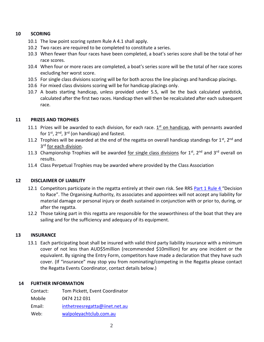#### **10 SCORING**

- 10.1 The low point scoring system Rule A 4.1 shall apply.
- 10.2 Two races are required to be completed to constitute a series.
- 10.3 When fewer than four races have been completed, a boat's series score shall be the total of her race scores.
- 10.4 When four or more races are completed, a boat's series score will be the total of her race scores excluding her worst score.
- 10.5 For single class divisions scoring will be for both across the line placings and handicap placings.
- 10.6 For mixed class divisions scoring will be for handicap placings only.
- 10.7 A boats starting handicap, unless provided under 5.5, will be the back calculated yardstick, calculated after the first two races. Handicap then will then be recalculated after each subsequent race.

#### **11 PRIZES AND TROPHIES**

- 11.1 Prizes will be awarded to each division, for each race.  $1<sup>st</sup>$  on handicap, with pennants awarded for  $1^{st}$ ,  $2^{nd}$ ,  $3^{rd}$  (on handicap) and fastest.
- 11.2 Trophies will be awarded at the end of the regatta on overall handicap standings for 1<sup>st</sup>, 2<sup>nd</sup> and 3<sup>rd</sup> for each division.
- 11.3 Championship Trophies will be awarded for single class divisions for 1<sup>st</sup>, 2<sup>nd</sup> and 3<sup>rd</sup> overall on results.
- 11.4 Class Perpetual Trophies may be awarded where provided by the Class Association

#### **12 DISCLAIMER OF LIABILITY**

- 12.1 Competitors participate in the regatta entirely at their own risk. See RRS [Part 1 Rule 4](https://www.sailingresources.org.au/class-assoc/racing-rules/) "Decision to Race". The Organising Authority, its associates and appointees will not accept any liability for material damage or personal injury or death sustained in conjunction with or prior to, during, or after the regatta.
- 12.2 Those taking part in this regatta are responsible for the seaworthiness of the boat that they are sailing and for the sufficiency and adequacy of its equipment.

#### **13 INSURANCE**

13.1 Each participating boat shall be insured with valid third party liability insurance with a minimum cover of not less than AUD\$5million (recommended \$10million) for any one incident or the equivalent. By signing the Entry Form, competitors have made a declaration that they have such cover. (If "insurance" may stop you from nominating/competing in the Regatta please contact the Regatta Events Coordinator, contact details below.)

#### **14 FURTHER INFORMATION**

| Contact: | Tom Pickett, Event Coordinator |
|----------|--------------------------------|
| Mobile   | 0474 212 031                   |
| Email:   | inthetreesregatta@iinet.net.au |
| Web:     | walpoleyachtclub.com.au        |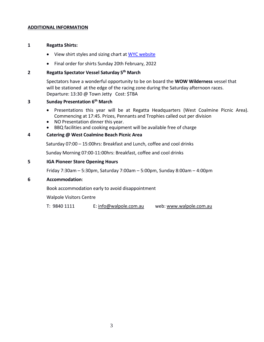#### **ADDITIONAL INFORMATION**

#### **1 Regatta Shirts:**

- View shirt styles and sizing chart at [WYC website](http://www.walpoleyachtclub.com.au/regatta-shirts)
- Final order for shirts Sunday 20th February, 2022

#### **2 Regatta Spectator Vessel Saturday 5 th March**

Spectators have a wonderful opportunity to be on board the **WOW Wilderness** vessel that will be stationed at the edge of the racing zone during the Saturday afternoon races. Departure: 13:30 @ Town Jetty Cost: \$TBA

#### **3 Sunday Presentation 6 th March**

- Presentations this year will be at Regatta Headquarters (West Coalmine Picnic Area). Commencing at 17:45. Prizes, Pennants and Trophies called out per division
- NO Presentation dinner this year.
- BBQ facilities and cooking equipment will be available free of charge

#### **4 Catering @ West Coalmine Beach Picnic Area**

Saturday 07:00 – 15:00hrs: Breakfast and Lunch, coffee and cool drinks

Sunday Morning 07:00-11:00hrs: Breakfast, coffee and cool drinks

#### **5 IGA Pioneer Store Opening Hours**

Friday 7:30am – 5:30pm, Saturday 7:00am – 5:00pm, Sunday 8:00am – 4:00pm

#### **6 Accommodation**:

Book accommodation early to avoid disappointment

Walpole Visitors Centre

T: 9840 1111 E[: info@walpole.com.au](mailto:info@walpole.com.au) web[: www.walpole.com.au](http://www.walpole.com.au/)